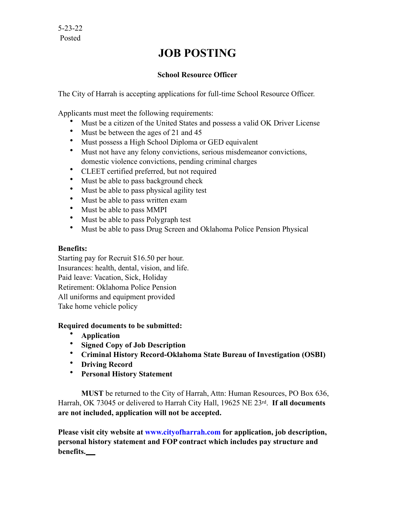## **JOB POSTING**

## **School Resource Officer**

The City of Harrah is accepting applications for full-time School Resource Officer.

Applicants must meet the following requirements:

- Must be a citizen of the United States and possess a valid OK Driver License
- Must be between the ages of 21 and 45
- Must possess a High School Diploma or GED equivalent
- Must not have any felony convictions, serious misdemeanor convictions, domestic violence convictions, pending criminal charges
- CLEET certified preferred, but not required
- Must be able to pass background check
- Must be able to pass physical agility test
- Must be able to pass written exam
- Must be able to pass MMPI
- Must be able to pass Polygraph test
- Must be able to pass Drug Screen and Oklahoma Police Pension Physical

## **Benefits:**

Starting pay for Recruit \$16.50 per hour. Insurances: health, dental, vision, and life. Paid leave: Vacation, Sick, Holiday Retirement: Oklahoma Police Pension All uniforms and equipment provided Take home vehicle policy

## **Required documents to be submitted:**

- **Application**
- **Signed Copy of Job Description**
- **Criminal History Record-Oklahoma State Bureau of Investigation (OSBI)**
- **Driving Record**
- **Personal History Statement**

**MUST** be returned to the City of Harrah, Attn: Human Resources, PO Box 636, Harrah, OK 73045 or delivered to Harrah City Hall, 19625 NE 23rd. **If all documents are not included, application will not be accepted.**

**Please visit city website at [www.cityofharrah.com](http://www.cityofharrah.com) for application, job description, personal history statement and FOP contract which includes pay structure and benefits.**